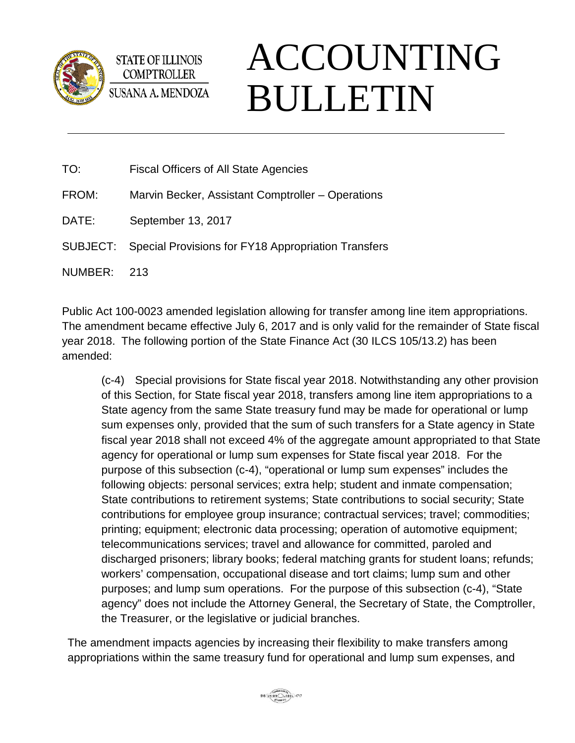

**STATE OF ILLINOIS COMPTROLLER** SUSANA A. MENDOZA

## ACCOUNTING BULLETIN

| TO:     | <b>Fiscal Officers of All State Agencies</b>                 |
|---------|--------------------------------------------------------------|
| FROM:   | Marvin Becker, Assistant Comptroller – Operations            |
| DATE:   | September 13, 2017                                           |
|         | SUBJECT: Special Provisions for FY18 Appropriation Transfers |
| NUMBER: | 213                                                          |
|         |                                                              |

Public Act 100-0023 amended legislation allowing for transfer among line item appropriations. The amendment became effective July 6, 2017 and is only valid for the remainder of State fiscal year 2018. The following portion of the State Finance Act (30 ILCS 105/13.2) has been amended:

(c-4) Special provisions for State fiscal year 2018. Notwithstanding any other provision of this Section, for State fiscal year 2018, transfers among line item appropriations to a State agency from the same State treasury fund may be made for operational or lump sum expenses only, provided that the sum of such transfers for a State agency in State fiscal year 2018 shall not exceed 4% of the aggregate amount appropriated to that State agency for operational or lump sum expenses for State fiscal year 2018. For the purpose of this subsection (c-4), "operational or lump sum expenses" includes the following objects: personal services; extra help; student and inmate compensation; State contributions to retirement systems; State contributions to social security; State contributions for employee group insurance; contractual services; travel; commodities; printing; equipment; electronic data processing; operation of automotive equipment; telecommunications services; travel and allowance for committed, paroled and discharged prisoners; library books; federal matching grants for student loans; refunds; workers' compensation, occupational disease and tort claims; lump sum and other purposes; and lump sum operations. For the purpose of this subsection (c-4), "State agency" does not include the Attorney General, the Secretary of State, the Comptroller, the Treasurer, or the legislative or judicial branches.

The amendment impacts agencies by increasing their flexibility to make transfers among appropriations within the same treasury fund for operational and lump sum expenses, and